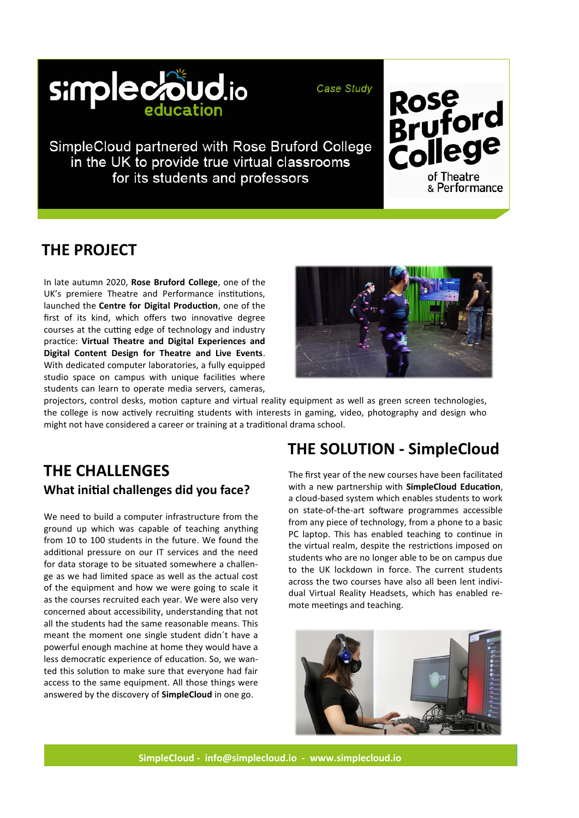

Case Study

SimpleCloud partnered with Rose Bruford College in the UK to provide true virtual classrooms for its students and professors

# **THE PROJECT**

In late autumn 2020, **Rose Bruford College**, one of the UK's premiere Theatre and Performance institutions, launched the **Centre for Digital Production**, one of the first of its kind, which offers two innovative degree courses at the cutting edge of technology and industry practice: **Virtual Theatre and Digital Experiences and Digital Content Design for Theatre and Live Events**. With dedicated computer laboratories, a fully equipped studio space on campus with unique facilities where students can learn to operate media servers, cameras,



Rose<br>Bruford<br>College

of Theatre & Performance

projectors, control desks, motion capture and virtual reality equipment as well as green screen technologies, the college is now actively recruiting students with interests in gaming, video, photography and design who might not have considered a career or training at a traditional drama school.

#### **THE CHALLENGES What initial challenges did you face?**

We need to build a computer infrastructure from the ground up which was capable of teaching anything from 10 to 100 students in the future. We found the additional pressure on our IT services and the need for data storage to be situated somewhere a challenge as we had limited space as well as the actual cost of the equipment and how we were going to scale it as the courses recruited each year. We were also very concerned about accessibility, understanding that not all the students had the same reasonable means. This meant the moment one single student didn´t have a powerful enough machine at home they would have a less democratic experience of education. So, we wanted this solution to make sure that everyone had fair access to the same equipment. All those things were answered by the discovery of **SimpleCloud** in one go.

# **THE SOLUTION - SimpleCloud**

The first year of the new courses have been facilitated with a new partnership with **SimpleCloud Education**, a cloud-based system which enables students to work on state-of-the-art software programmes accessible from any piece of technology, from a phone to a basic PC laptop. This has enabled teaching to continue in the virtual realm, despite the restrictions imposed on students who are no longer able to be on campus due to the UK lockdown in force. The current students across the two courses have also all been lent individual Virtual Reality Headsets, which has enabled remote meetings and teaching.